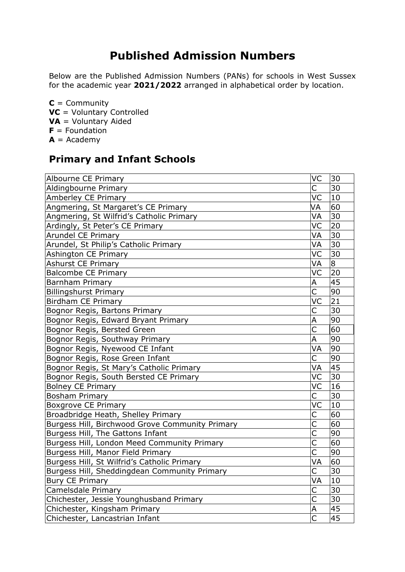## **Published Admission Numbers**

Below are the Published Admission Numbers (PANs) for schools in West Sussex for the academic year **2021/2022** arranged in alphabetical order by location.

**C** = Community **VC** = Voluntary Controlled **VA** = Voluntary Aided **F** = Foundation  $A =$ Academy

## **Primary and Infant Schools**

| Albourne CE Primary                             | VC                      | 30 |
|-------------------------------------------------|-------------------------|----|
| Aldingbourne Primary                            | Ċ                       | 30 |
| Amberley CE Primary                             | VC                      | 10 |
| Angmering, St Margaret's CE Primary             | VA                      | 60 |
| Angmering, St Wilfrid's Catholic Primary        | VA                      | 30 |
| Ardingly, St Peter's CE Primary                 | VC                      | 20 |
| <b>Arundel CE Primary</b>                       | VA                      | 30 |
| Arundel, St Philip's Catholic Primary           | VA                      | 30 |
| Ashington CE Primary                            | VC                      | 30 |
| <b>Ashurst CE Primary</b>                       | VA                      | 8  |
| <b>Balcombe CE Primary</b>                      | VC                      | 20 |
| <b>Barnham Primary</b>                          | Α                       | 45 |
| <b>Billingshurst Primary</b>                    | Ċ                       | 90 |
| <b>Birdham CE Primary</b>                       | VC                      | 21 |
| Bognor Regis, Bartons Primary                   | C                       | 30 |
| Bognor Regis, Edward Bryant Primary             | A                       | 90 |
| Bognor Regis, Bersted Green                     | $\overline{\mathsf{C}}$ | 60 |
| Bognor Regis, Southway Primary                  | A                       | 90 |
| Bognor Regis, Nyewood CE Infant                 | VA                      | 90 |
| Bognor Regis, Rose Green Infant                 | С                       | 90 |
| Bognor Regis, St Mary's Catholic Primary        | VA                      | 45 |
| Bognor Regis, South Bersted CE Primary          | VC                      | 30 |
| <b>Bolney CE Primary</b>                        | VC                      | 16 |
| <b>Bosham Primary</b>                           | С                       | 30 |
| <b>Boxgrove CE Primary</b>                      | VC                      | 10 |
| Broadbridge Heath, Shelley Primary              | C                       | 60 |
| Burgess Hill, Birchwood Grove Community Primary | $\overline{\mathsf{C}}$ | 60 |
| Burgess Hill, The Gattons Infant                | $\overline{\mathsf{C}}$ | 90 |
| Burgess Hill, London Meed Community Primary     | $\overline{\mathsf{C}}$ | 60 |
| Burgess Hill, Manor Field Primary               | $\overline{\mathsf{C}}$ | 90 |
| Burgess Hill, St Wilfrid's Catholic Primary     | VA                      | 60 |
| Burgess Hill, Sheddingdean Community Primary    | Ċ                       | 30 |
| <b>Bury CE Primary</b>                          | VA                      | 10 |
| Camelsdale Primary                              | Ċ                       | 30 |
| Chichester, Jessie Younghusband Primary         | $\overline{\mathsf{C}}$ | 30 |
| Chichester, Kingsham Primary                    | A                       | 45 |
| Chichester, Lancastrian Infant                  | $\overline{\mathsf{C}}$ | 45 |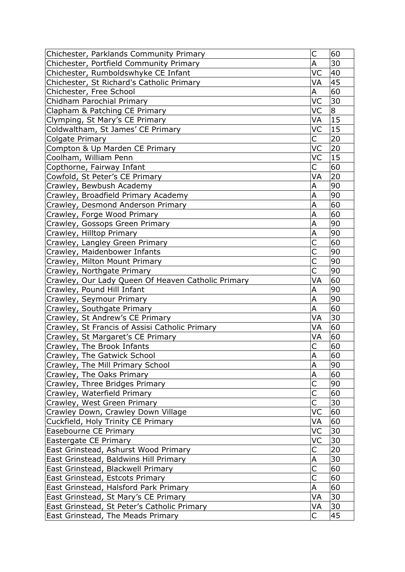| Chichester, Parklands Community Primary            | C                       | 60             |
|----------------------------------------------------|-------------------------|----------------|
| Chichester, Portfield Community Primary            | A                       | 30             |
| Chichester, Rumboldswhyke CE Infant                | VC                      | 40             |
| Chichester, St Richard's Catholic Primary          | VA                      | 45             |
| Chichester, Free School                            | А                       | 60             |
| Chidham Parochial Primary                          | VC                      | 30             |
| Clapham & Patching CE Primary                      | VC                      | $\overline{8}$ |
| Clymping, St Mary's CE Primary                     | VA                      | 15             |
| Coldwaltham, St James' CE Primary                  | VC                      | 15             |
| Colgate Primary                                    | C                       | 20             |
| Compton & Up Marden CE Primary                     | VC                      | 20             |
| Coolham, William Penn                              | VC                      | 15             |
| Copthorne, Fairway Infant                          | C                       | 60             |
| Cowfold, St Peter's CE Primary                     | VA                      | 20             |
| Crawley, Bewbush Academy                           | Α                       | 90             |
| Crawley, Broadfield Primary Academy                | A                       | 90             |
| Crawley, Desmond Anderson Primary                  | A                       | 60             |
| Crawley, Forge Wood Primary                        | A                       | 60             |
| Crawley, Gossops Green Primary                     | A                       | 90             |
| Crawley, Hilltop Primary                           | A                       | 90             |
| Crawley, Langley Green Primary                     | Ċ                       | 60             |
| Crawley, Maidenbower Infants                       | Ć                       | 90             |
| Crawley, Milton Mount Primary                      | C                       | 90             |
| Crawley, Northgate Primary                         | Ċ                       | 90             |
| Crawley, Our Lady Queen Of Heaven Catholic Primary | VA                      | 60             |
| Crawley, Pound Hill Infant                         | A                       | 90             |
| Crawley, Seymour Primary                           | A                       | 90             |
| Crawley, Southgate Primary                         | A                       | 60             |
| Crawley, St Andrew's CE Primary                    | VA                      | 30             |
| Crawley, St Francis of Assisi Catholic Primary     | VA                      | 60             |
| Crawley, St Margaret's CE Primary                  | VA                      | 60             |
| Crawley, The Brook Infants                         | C                       | 60             |
| Crawley, The Gatwick School                        | A                       | 60             |
| Crawley, The Mill Primary School                   | A                       | 90             |
| Crawley, The Oaks Primary                          | A                       | 60             |
| Crawley, Three Bridges Primary                     | $\overline{\mathsf{C}}$ | 90             |
| Crawley, Waterfield Primary                        | C                       | 60             |
| Crawley, West Green Primary                        | Ć                       | 30             |
| Crawley Down, Crawley Down Village                 | VC                      | 60             |
| Cuckfield, Holy Trinity CE Primary                 | VA                      | 60             |
| Easebourne CE Primary                              | VC                      | 30             |
| Eastergate CE Primary                              | VC                      | 30             |
| East Grinstead, Ashurst Wood Primary               | С                       | 20             |
| East Grinstead, Baldwins Hill Primary              | Α                       | 30             |
| East Grinstead, Blackwell Primary                  | C                       | 60             |
| East Grinstead, Estcots Primary                    | $\overline{\mathsf{C}}$ | 60             |
| East Grinstead, Halsford Park Primary              | А                       | 60             |
| East Grinstead, St Mary's CE Primary               | VA                      | 30             |
| East Grinstead, St Peter's Catholic Primary        | VA                      | 30             |
| East Grinstead, The Meads Primary                  | C.                      | 45             |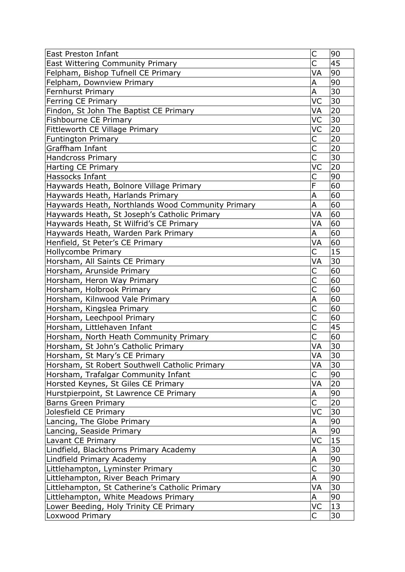| <b>East Preston Infant</b>                        | C                       | 90           |
|---------------------------------------------------|-------------------------|--------------|
| <b>East Wittering Community Primary</b>           | Ċ                       | 45           |
| Felpham, Bishop Tufnell CE Primary                | VA                      | 90           |
| Felpham, Downview Primary                         | A                       | 90           |
| Fernhurst Primary                                 | A                       | 30           |
| Ferring CE Primary                                | VC                      | 30           |
| Findon, St John The Baptist CE Primary            | VA                      | 20           |
| Fishbourne CE Primary                             | VC                      | 30           |
| Fittleworth CE Village Primary                    | VC                      | 20           |
| <b>Funtington Primary</b>                         | C                       | 20           |
| Graffham Infant                                   | C                       | 20           |
| <b>Handcross Primary</b>                          | С                       | 30           |
| <b>Harting CE Primary</b>                         | VC                      | 20           |
| Hassocks Infant                                   | C                       | 90           |
| Haywards Heath, Bolnore Village Primary           | F                       | 60           |
| Haywards Heath, Harlands Primary                  | A                       | 60           |
| Haywards Heath, Northlands Wood Community Primary | Α                       | 60           |
| Haywards Heath, St Joseph's Catholic Primary      | VA                      | 60           |
| Haywards Heath, St Wilfrid's CE Primary           | VA                      | 60           |
| Haywards Heath, Warden Park Primary               | Α                       | 60           |
| Henfield, St Peter's CE Primary                   | VA                      | 60           |
| Hollycombe Primary                                | Ċ                       | 15           |
| Horsham, All Saints CE Primary                    | VA                      | 30           |
| Horsham, Arunside Primary                         | С                       | 60           |
| Horsham, Heron Way Primary                        | C                       | 60           |
| Horsham, Holbrook Primary                         | $\overline{\mathsf{C}}$ | 60           |
| Horsham, Kilnwood Vale Primary                    | Α                       | 60           |
| Horsham, Kingslea Primary                         | С                       | 60           |
| Horsham, Leechpool Primary                        | Ċ                       | 60           |
| Horsham, Littlehaven Infant                       | Ċ                       | 45           |
| Horsham, North Heath Community Primary            | C                       | 60           |
| Horsham, St John's Catholic Primary               | VA                      | 30           |
| Horsham, St Mary's CE Primary                     | VA                      | $ 30\rangle$ |
| Horsham, St Robert Southwell Catholic Primary     | VA                      | 30           |
| Horsham, Trafalgar Community Infant               | С                       | 90           |
| Horsted Keynes, St Giles CE Primary               | VA                      | 20           |
| Hurstpierpoint, St Lawrence CE Primary            | А                       | 90           |
| <b>Barns Green Primary</b>                        | Ċ                       | 20           |
| Jolesfield CE Primary                             | VC                      | 30           |
| Lancing, The Globe Primary                        | A                       | 90           |
| Lancing, Seaside Primary                          | A                       | 90           |
| Lavant CE Primary                                 | VC                      | 15           |
| Lindfield, Blackthorns Primary Academy            | Α                       | 30           |
| Lindfield Primary Academy                         | A                       | 90           |
| Littlehampton, Lyminster Primary                  | Ċ                       | 30           |
| Littlehampton, River Beach Primary                | А                       | 90           |
| Littlehampton, St Catherine's Catholic Primary    | VA                      | 30           |
| Littlehampton, White Meadows Primary              | Α                       | 90           |
| Lower Beeding, Holy Trinity CE Primary            | VC                      | 13           |
| Loxwood Primary                                   | C                       | 30           |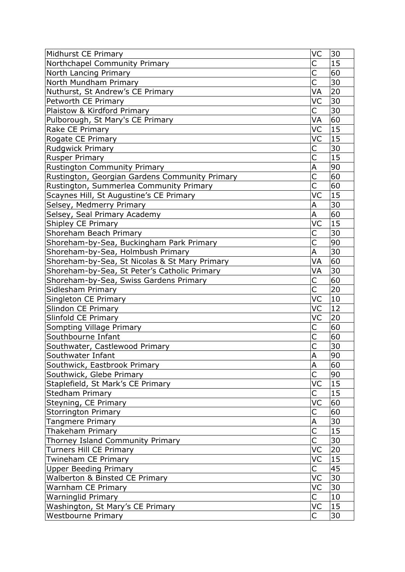| Midhurst CE Primary                            | VC                      | 30 |
|------------------------------------------------|-------------------------|----|
| Northchapel Community Primary                  | С                       | 15 |
| North Lancing Primary                          | Ċ                       | 60 |
| North Mundham Primary                          | С                       | 30 |
| Nuthurst, St Andrew's CE Primary               | VA                      | 20 |
| Petworth CE Primary                            | VC                      | 30 |
| Plaistow & Kirdford Primary                    | C                       | 30 |
| Pulborough, St Mary's CE Primary               | VA                      | 60 |
| Rake CE Primary                                | VC                      | 15 |
| Rogate CE Primary                              | VC                      | 15 |
| Rudgwick Primary                               | C                       | 30 |
| <b>Rusper Primary</b>                          | C                       | 15 |
| <b>Rustington Community Primary</b>            | A                       | 90 |
| Rustington, Georgian Gardens Community Primary | С                       | 60 |
| Rustington, Summerlea Community Primary        | Ċ                       | 60 |
| Scaynes Hill, St Augustine's CE Primary        | VC                      | 15 |
| Selsey, Medmerry Primary                       | А                       | 30 |
| Selsey, Seal Primary Academy                   | A                       | 60 |
| Shipley CE Primary                             | VC                      | 15 |
| Shoreham Beach Primary                         | С                       | 30 |
| Shoreham-by-Sea, Buckingham Park Primary       | $\overline{\mathsf{C}}$ | 90 |
| Shoreham-by-Sea, Holmbush Primary              | Α                       | 30 |
| Shoreham-by-Sea, St Nicolas & St Mary Primary  | VA                      | 60 |
| Shoreham-by-Sea, St Peter's Catholic Primary   | VA                      | 30 |
| Shoreham-by-Sea, Swiss Gardens Primary         | С                       | 60 |
| Sidlesham Primary                              | $\overline{\mathsf{C}}$ | 20 |
| Singleton CE Primary                           | VC                      | 10 |
| Slindon CE Primary                             | VC                      | 12 |
| Slinfold CE Primary                            | VC                      | 20 |
| Sompting Village Primary                       | С                       | 60 |
| Southbourne Infant                             | $\overline{\mathsf{C}}$ | 60 |
| Southwater, Castlewood Primary                 | C                       | 30 |
| Southwater Infant                              | A                       | 90 |
| Southwick, Eastbrook Primary                   | A                       | 60 |
| Southwick, Glebe Primary                       | Ċ                       | 90 |
| Staplefield, St Mark's CE Primary              | VC                      | 15 |
| <b>Stedham Primary</b>                         | С                       | 15 |
| Steyning, CE Primary                           | VC                      | 60 |
| <b>Storrington Primary</b>                     | C                       | 60 |
| <b>Tangmere Primary</b>                        | Α                       | 30 |
| Thakeham Primary                               | Ċ                       | 15 |
| Thorney Island Community Primary               | $\overline{\mathsf{C}}$ | 30 |
| Turners Hill CE Primary                        | VC                      | 20 |
| Twineham CE Primary                            | VC                      | 15 |
| <b>Upper Beeding Primary</b>                   | С                       | 45 |
| Walberton & Binsted CE Primary                 | VC                      | 30 |
| Warnham CE Primary                             | VC                      | 30 |
| <b>Warninglid Primary</b>                      | С                       | 10 |
| Washington, St Mary's CE Primary               | VC                      | 15 |
| <b>Westbourne Primary</b>                      | С                       | 30 |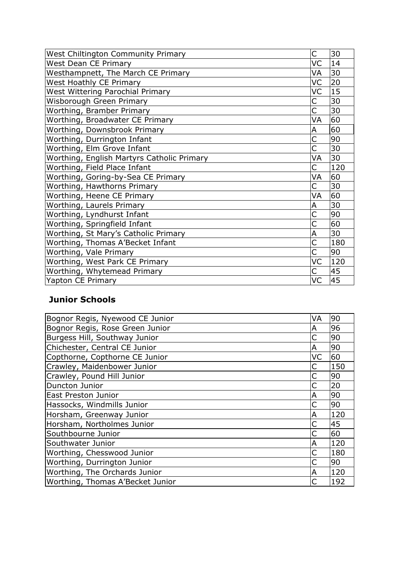| West Chiltington Community Primary         | C  | 30  |
|--------------------------------------------|----|-----|
| <b>West Dean CE Primary</b>                | VC | 14  |
| Westhampnett, The March CE Primary         | VA | 30  |
| West Hoathly CE Primary                    | VC | 20  |
| West Wittering Parochial Primary           | VC | 15  |
| Wisborough Green Primary                   | C  | 30  |
| Worthing, Bramber Primary                  | С  | 30  |
| Worthing, Broadwater CE Primary            | VA | 60  |
| Worthing, Downsbrook Primary               | Α  | 60  |
| Worthing, Durrington Infant                |    | 90  |
| Worthing, Elm Grove Infant                 | С  | 30  |
| Worthing, English Martyrs Catholic Primary | VA | 30  |
| Worthing, Field Place Infant               | С  | 120 |
| Worthing, Goring-by-Sea CE Primary         | VA | 60  |
| Worthing, Hawthorns Primary                | C  | 30  |
| Worthing, Heene CE Primary                 | VA | 60  |
| Worthing, Laurels Primary                  | Α  | 30  |
| Worthing, Lyndhurst Infant                 |    | 90  |
| Worthing, Springfield Infant               |    | 60  |
| Worthing, St Mary's Catholic Primary       | Α  | 30  |
| Worthing, Thomas A'Becket Infant           |    | 180 |
| Worthing, Vale Primary                     | C  | 90  |
| Worthing, West Park CE Primary             | VC | 120 |
| Worthing, Whytemead Primary                | С  | 45  |
| Yapton CE Primary                          | VC | 45  |

## **Junior Schools**

| Bognor Regis, Nyewood CE Junior  | VA | 90  |
|----------------------------------|----|-----|
| Bognor Regis, Rose Green Junior  | A  | 96  |
| Burgess Hill, Southway Junior    |    | 90  |
| Chichester, Central CE Junior    | А  | 90  |
| Copthorne, Copthorne CE Junior   | VC | 60  |
| Crawley, Maidenbower Junior      |    | 150 |
| Crawley, Pound Hill Junior       |    | 90  |
| Duncton Junior                   |    | 20  |
| East Preston Junior              | А  | 90  |
| Hassocks, Windmills Junior       |    | 90  |
| Horsham, Greenway Junior         | А  | 120 |
| Horsham, Northolmes Junior       |    | 45  |
| Southbourne Junior               |    | 60  |
| Southwater Junior                | Α  | 120 |
| Worthing, Chesswood Junior       |    | 180 |
| Worthing, Durrington Junior      |    | 90  |
| Worthing, The Orchards Junior    | А  | 120 |
| Worthing, Thomas A'Becket Junior |    | 192 |